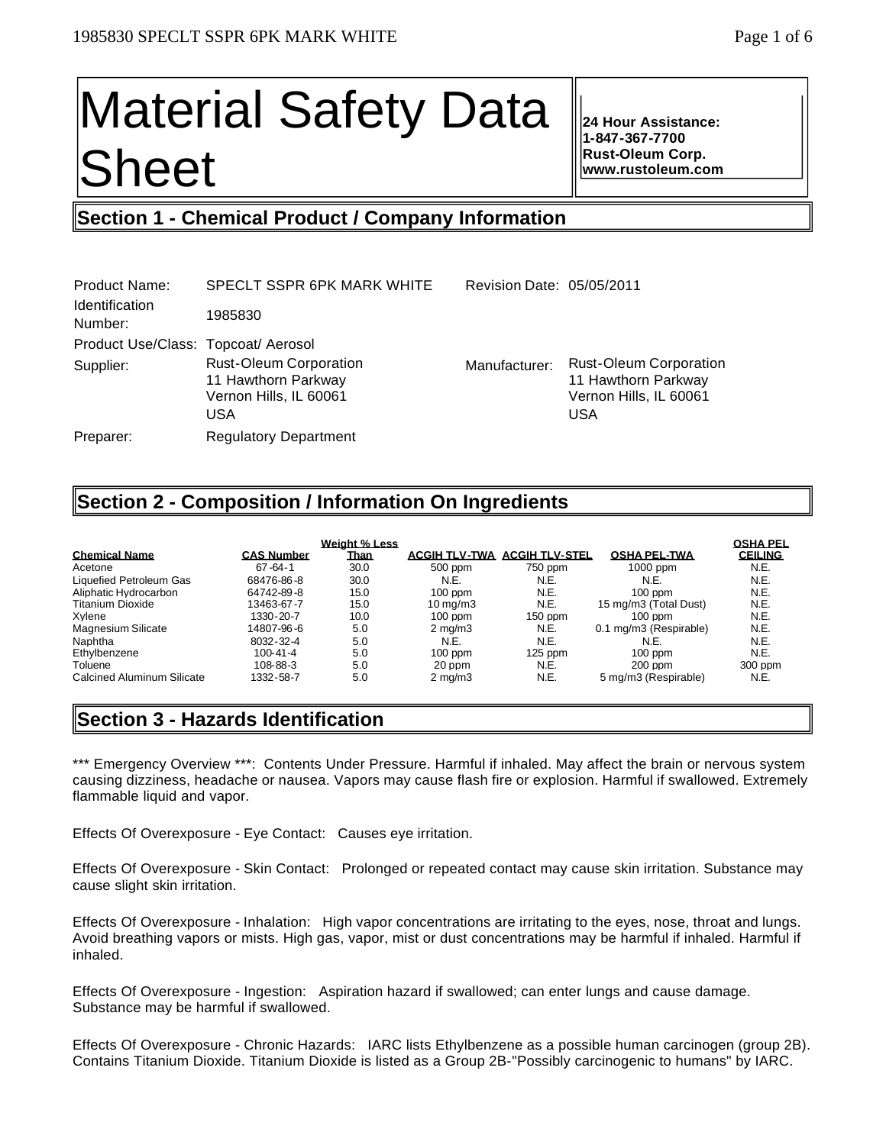# Material Safety Data Sheet

**24 Hour Assistance: 1-847-367-7700 Rust-Oleum Corp. www.rustoleum.com**

# **Section 1 - Chemical Product / Company Information**

| Product Name:<br><b>Identification</b> | SPECLT SSPR 6PK MARK WHITE                                                            | Revision Date: 05/05/2011 |                                                                                              |
|----------------------------------------|---------------------------------------------------------------------------------------|---------------------------|----------------------------------------------------------------------------------------------|
| Number:                                | 1985830                                                                               |                           |                                                                                              |
| Product Use/Class: Topcoat/ Aerosol    |                                                                                       |                           |                                                                                              |
| Supplier:                              | <b>Rust-Oleum Corporation</b><br>11 Hawthorn Parkway<br>Vernon Hills, IL 60061<br>USA | Manufacturer:             | <b>Rust-Oleum Corporation</b><br>11 Hawthorn Parkway<br>Vernon Hills, IL 60061<br><b>USA</b> |
| Preparer:                              | <b>Regulatory Department</b>                                                          |                           |                                                                                              |

# **Section 2 - Composition / Information On Ingredients**

|                            |                   | <b>Weight % Less</b> |                       |                                     |                        | <b>OSHA PEL</b> |
|----------------------------|-------------------|----------------------|-----------------------|-------------------------------------|------------------------|-----------------|
| <b>Chemical Name</b>       | <b>CAS Number</b> | Than                 |                       | <b>ACGIH TLV-TWA ACGIH TLV-STEL</b> | <b>OSHA PEL-TWA</b>    | <b>CEILING</b>  |
| Acetone                    | $67 - 64 - 1$     | 30.0                 | 500 ppm               | 750 ppm                             | $1000$ ppm             | N.E.            |
| Liquefied Petroleum Gas    | 68476-86-8        | 30.0                 | N.E.                  | N.E.                                | N.E.                   | N.E.            |
| Aliphatic Hydrocarbon      | 64742-89-8        | 15.0                 | $100$ ppm             | N.E.                                | $100$ ppm              | N.E.            |
| Titanium Dioxide           | 13463-67-7        | 15.0                 | $10 \,\mathrm{ma/m3}$ | N.E.                                | 15 mg/m3 (Total Dust)  | N.E.            |
| Xvlene                     | 1330-20-7         | 10.0                 | $100$ ppm             | $150$ ppm                           | $100$ ppm              | N.E.            |
| Magnesium Silicate         | 14807-96-6        | 5.0                  | $2 \text{ mg/m}$      | N.E.                                | 0.1 mg/m3 (Respirable) | N.E.            |
| Naphtha                    | 8032-32-4         | 5.0                  | N.E.                  | N.E.                                | N.E.                   | N.E.            |
| Ethylbenzene               | $100 - 41 - 4$    | 5.0                  | $100$ ppm             | $125$ ppm                           | $100$ ppm              | N.E.            |
| Toluene                    | 108-88-3          | 5.0                  | 20 ppm                | N.E.                                | $200$ ppm              | 300 ppm         |
| Calcined Aluminum Silicate | 1332-58-7         | 5.0                  | $2 \text{ mg/m}$      | N.E.                                | 5 mg/m3 (Respirable)   | N.E.            |

# **Section 3 - Hazards Identification**

\*\*\* Emergency Overview \*\*\*: Contents Under Pressure. Harmful if inhaled. May affect the brain or nervous system causing dizziness, headache or nausea. Vapors may cause flash fire or explosion. Harmful if swallowed. Extremely flammable liquid and vapor.

Effects Of Overexposure - Eye Contact: Causes eye irritation.

Effects Of Overexposure - Skin Contact: Prolonged or repeated contact may cause skin irritation. Substance may cause slight skin irritation.

Effects Of Overexposure - Inhalation: High vapor concentrations are irritating to the eyes, nose, throat and lungs. Avoid breathing vapors or mists. High gas, vapor, mist or dust concentrations may be harmful if inhaled. Harmful if inhaled.

Effects Of Overexposure - Ingestion: Aspiration hazard if swallowed; can enter lungs and cause damage. Substance may be harmful if swallowed.

Effects Of Overexposure - Chronic Hazards: IARC lists Ethylbenzene as a possible human carcinogen (group 2B). Contains Titanium Dioxide. Titanium Dioxide is listed as a Group 2B-"Possibly carcinogenic to humans" by IARC.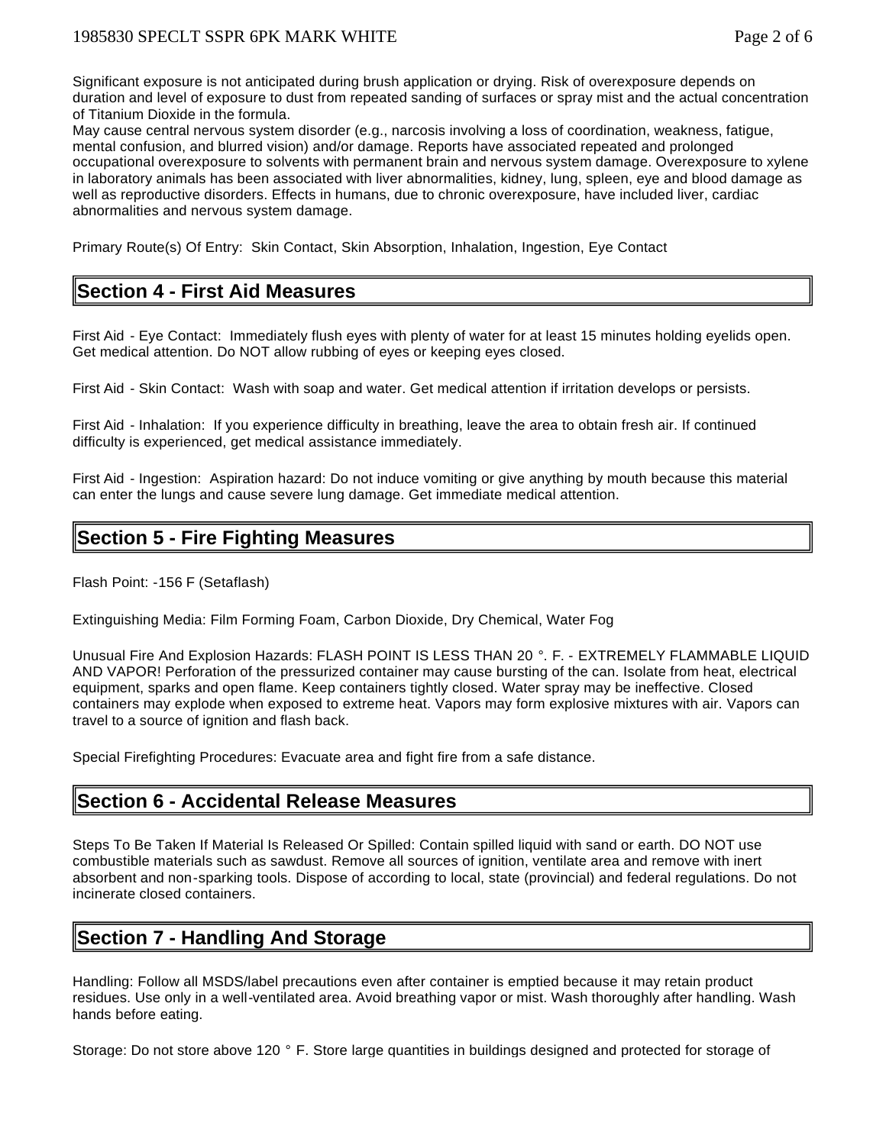Significant exposure is not anticipated during brush application or drying. Risk of overexposure depends on duration and level of exposure to dust from repeated sanding of surfaces or spray mist and the actual concentration of Titanium Dioxide in the formula.

May cause central nervous system disorder (e.g., narcosis involving a loss of coordination, weakness, fatigue, mental confusion, and blurred vision) and/or damage. Reports have associated repeated and prolonged occupational overexposure to solvents with permanent brain and nervous system damage. Overexposure to xylene in laboratory animals has been associated with liver abnormalities, kidney, lung, spleen, eye and blood damage as well as reproductive disorders. Effects in humans, due to chronic overexposure, have included liver, cardiac abnormalities and nervous system damage.

Primary Route(s) Of Entry: Skin Contact, Skin Absorption, Inhalation, Ingestion, Eye Contact

# **Section 4 - First Aid Measures**

First Aid - Eye Contact: Immediately flush eyes with plenty of water for at least 15 minutes holding eyelids open. Get medical attention. Do NOT allow rubbing of eyes or keeping eyes closed.

First Aid - Skin Contact: Wash with soap and water. Get medical attention if irritation develops or persists.

First Aid - Inhalation: If you experience difficulty in breathing, leave the area to obtain fresh air. If continued difficulty is experienced, get medical assistance immediately.

First Aid - Ingestion: Aspiration hazard: Do not induce vomiting or give anything by mouth because this material can enter the lungs and cause severe lung damage. Get immediate medical attention.

# **Section 5 - Fire Fighting Measures**

Flash Point: -156 F (Setaflash)

Extinguishing Media: Film Forming Foam, Carbon Dioxide, Dry Chemical, Water Fog

Unusual Fire And Explosion Hazards: FLASH POINT IS LESS THAN 20 °. F. - EXTREMELY FLAMMABLE LIQUID AND VAPOR! Perforation of the pressurized container may cause bursting of the can. Isolate from heat, electrical equipment, sparks and open flame. Keep containers tightly closed. Water spray may be ineffective. Closed containers may explode when exposed to extreme heat. Vapors may form explosive mixtures with air. Vapors can travel to a source of ignition and flash back.

Special Firefighting Procedures: Evacuate area and fight fire from a safe distance.

# **Section 6 - Accidental Release Measures**

Steps To Be Taken If Material Is Released Or Spilled: Contain spilled liquid with sand or earth. DO NOT use combustible materials such as sawdust. Remove all sources of ignition, ventilate area and remove with inert absorbent and non-sparking tools. Dispose of according to local, state (provincial) and federal regulations. Do not incinerate closed containers.

# **Section 7 - Handling And Storage**

Handling: Follow all MSDS/label precautions even after container is emptied because it may retain product residues. Use only in a well-ventilated area. Avoid breathing vapor or mist. Wash thoroughly after handling. Wash hands before eating.

Storage: Do not store above 120 ° F. Store large quantities in buildings designed and protected for storage of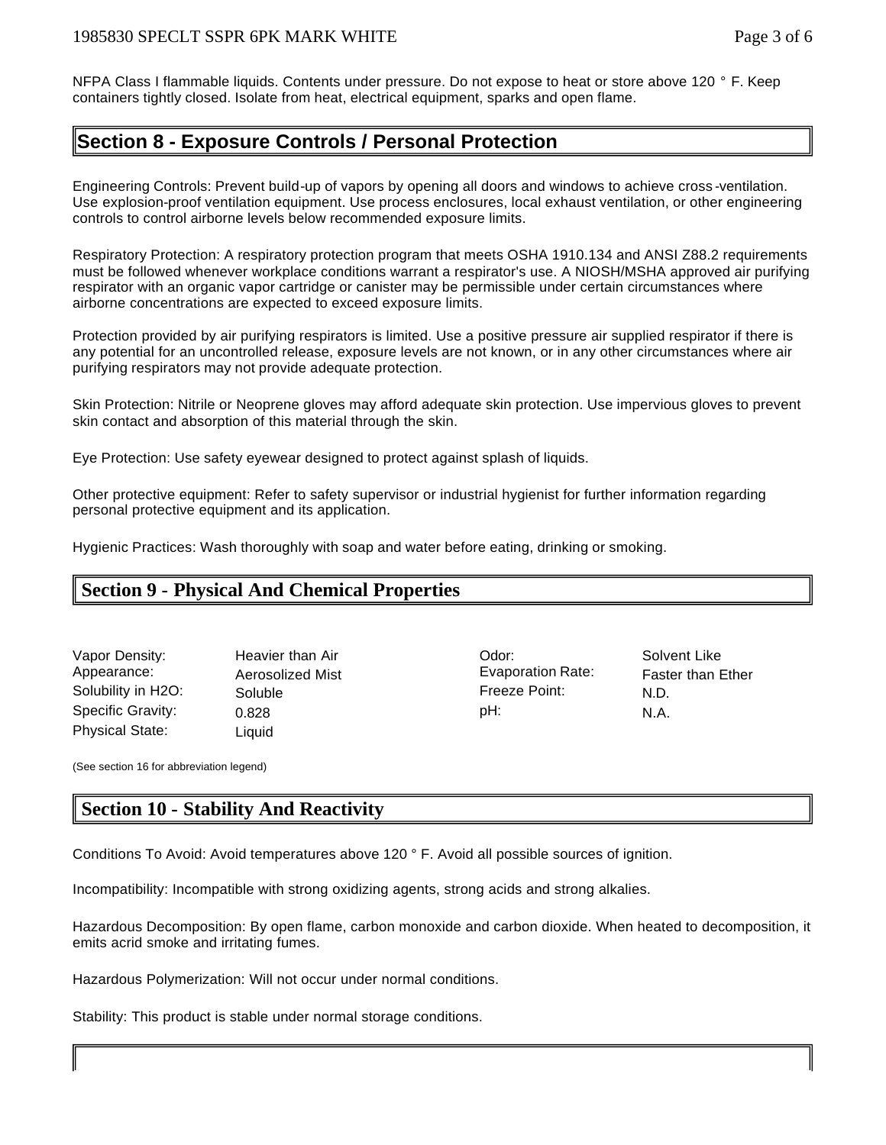NFPA Class I flammable liquids. Contents under pressure. Do not expose to heat or store above 120 ° F. Keep containers tightly closed. Isolate from heat, electrical equipment, sparks and open flame.

# **Section 8 - Exposure Controls / Personal Protection**

Engineering Controls: Prevent build-up of vapors by opening all doors and windows to achieve cross -ventilation. Use explosion-proof ventilation equipment. Use process enclosures, local exhaust ventilation, or other engineering controls to control airborne levels below recommended exposure limits.

Respiratory Protection: A respiratory protection program that meets OSHA 1910.134 and ANSI Z88.2 requirements must be followed whenever workplace conditions warrant a respirator's use. A NIOSH/MSHA approved air purifying respirator with an organic vapor cartridge or canister may be permissible under certain circumstances where airborne concentrations are expected to exceed exposure limits.

Protection provided by air purifying respirators is limited. Use a positive pressure air supplied respirator if there is any potential for an uncontrolled release, exposure levels are not known, or in any other circumstances where air purifying respirators may not provide adequate protection.

Skin Protection: Nitrile or Neoprene gloves may afford adequate skin protection. Use impervious gloves to prevent skin contact and absorption of this material through the skin.

Eye Protection: Use safety eyewear designed to protect against splash of liquids.

Other protective equipment: Refer to safety supervisor or industrial hygienist for further information regarding personal protective equipment and its application.

Hygienic Practices: Wash thoroughly with soap and water before eating, drinking or smoking.

# **Section 9 - Physical And Chemical Properties**

Vapor Density: Heavier than Air Odor: Solvent Like Appearance: Aerosolized Mist Evaporation Rate: Faster than Ether Solubility in H2O: Soluble Freeze Point: N.D. Specific Gravity:  $0.828$  pH: N.A. Physical State: Liquid

(See section 16 for abbreviation legend)

# **Section 10 - Stability And Reactivity**

Conditions To Avoid: Avoid temperatures above 120 ° F. Avoid all possible sources of ignition.

Incompatibility: Incompatible with strong oxidizing agents, strong acids and strong alkalies.

Hazardous Decomposition: By open flame, carbon monoxide and carbon dioxide. When heated to decomposition, it emits acrid smoke and irritating fumes.

Hazardous Polymerization: Will not occur under normal conditions.

Stability: This product is stable under normal storage conditions.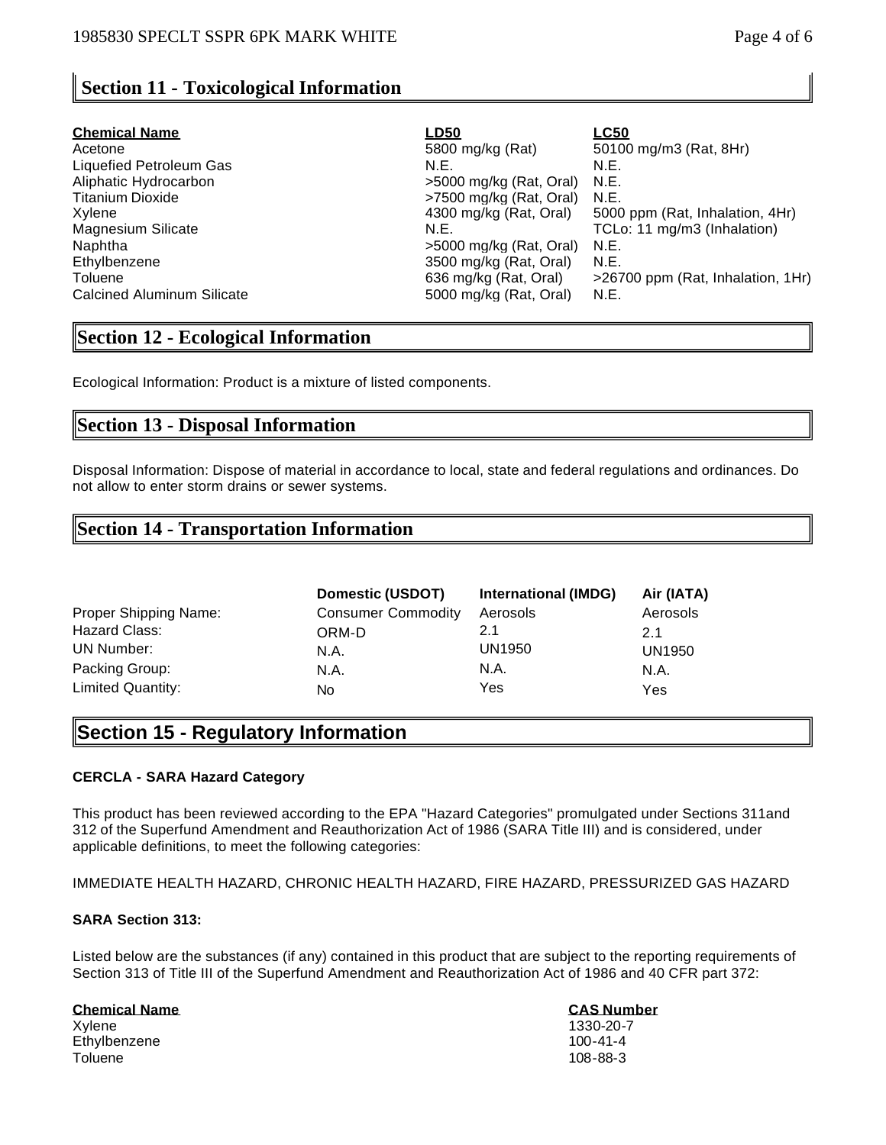# **Section 11 - Toxicological Information**

| <b>Chemical Name</b>              | <u>LD50</u>               | <b>LC50</b>                       |
|-----------------------------------|---------------------------|-----------------------------------|
| Acetone                           | 5800 mg/kg (Rat)          | 50100 mg/m3 (Rat, 8Hr)            |
| Liquefied Petroleum Gas           | N.E.                      | N.E.                              |
| Aliphatic Hydrocarbon             | >5000 mg/kg (Rat, Oral)   | N.E.                              |
| Titanium Dioxide                  | >7500 mg/kg (Rat. Oral)   | N.E.                              |
| Xvlene                            | 4300 mg/kg (Rat, Oral)    | 5000 ppm (Rat, Inhalation, 4Hr)   |
| Magnesium Silicate                | N.E.                      | TCLo: 11 mg/m3 (Inhalation)       |
| Naphtha                           | $>5000$ mg/kg (Rat, Oral) | N.E.                              |
| Ethylbenzene                      | 3500 mg/kg (Rat, Oral)    | N.E.                              |
| Toluene                           | 636 mg/kg (Rat, Oral)     | >26700 ppm (Rat, Inhalation, 1Hr) |
| <b>Calcined Aluminum Silicate</b> | 5000 mg/kg (Rat, Oral)    | N.E.                              |

# **Section 12 - Ecological Information**

Ecological Information: Product is a mixture of listed components.

# **Section 13 - Disposal Information**

Disposal Information: Dispose of material in accordance to local, state and federal regulations and ordinances. Do not allow to enter storm drains or sewer systems.

# **Section 14 - Transportation Information**

|                       | Domestic (USDOT)          | International (IMDG) | Air (IATA) |
|-----------------------|---------------------------|----------------------|------------|
| Proper Shipping Name: | <b>Consumer Commodity</b> | Aerosols             | Aerosols   |
| Hazard Class:         | ORM-D                     | 2.1                  | 2.1        |
| UN Number:            | N.A.                      | UN1950               | UN1950     |
| Packing Group:        | N.A.                      | N.A.                 | N.A.       |
| Limited Quantity:     | No                        | Yes                  | Yes        |

# **Section 15 - Regulatory Information**

#### **CERCLA - SARA Hazard Category**

This product has been reviewed according to the EPA "Hazard Categories" promulgated under Sections 311and 312 of the Superfund Amendment and Reauthorization Act of 1986 (SARA Title III) and is considered, under applicable definitions, to meet the following categories:

IMMEDIATE HEALTH HAZARD, CHRONIC HEALTH HAZARD, FIRE HAZARD, PRESSURIZED GAS HAZARD

#### **SARA Section 313:**

Listed below are the substances (if any) contained in this product that are subject to the reporting requirements of Section 313 of Title III of the Superfund Amendment and Reauthorization Act of 1986 and 40 CFR part 372:

#### **Chemical Name CAS Number**

Xylene 1330-20-7 Ethylbenzene 100-41-4 Toluene 108-88-3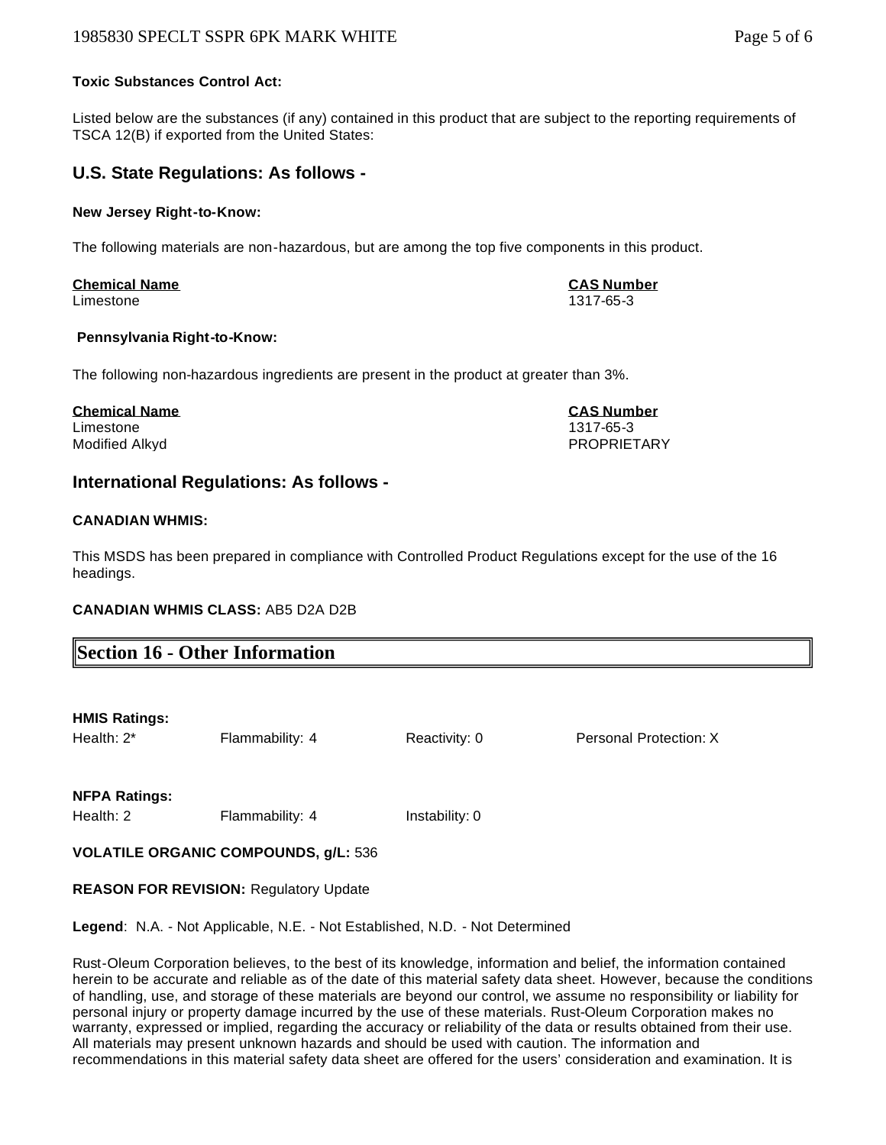#### 1985830 SPECLT SSPR 6PK MARK WHITE **Page 1** and the state page 5 of 6

#### **Toxic Substances Control Act:**

Listed below are the substances (if any) contained in this product that are subject to the reporting requirements of TSCA 12(B) if exported from the United States:

#### **U.S. State Regulations: As follows -**

#### **New Jersey Right-to-Know:**

The following materials are non-hazardous, but are among the top five components in this product.

#### **Chemical Name CAS Number** Limestone 1317-65-3

#### **Pennsylvania Right-to-Know:**

The following non-hazardous ingredients are present in the product at greater than 3%.

#### **Chemical Name CAS Number** Limestone 1317-65-3

Modified Alkyd PROPRIETARY

# **International Regulations: As follows -**

#### **CANADIAN WHMIS:**

This MSDS has been prepared in compliance with Controlled Product Regulations except for the use of the 16 headings.

#### **CANADIAN WHMIS CLASS:** AB5 D2A D2B

# **Section 16 - Other Information**

| <b>HMIS Ratings:</b> |                 |               |                        |
|----------------------|-----------------|---------------|------------------------|
| Health: 2*           | Flammability: 4 | Reactivity: 0 | Personal Protection: X |

**NFPA Ratings:**

Health: 2 Flammability: 4 Instability: 0

**VOLATILE ORGANIC COMPOUNDS, g/L:** 536

#### **REASON FOR REVISION:** Regulatory Update

**Legend**: N.A. - Not Applicable, N.E. - Not Established, N.D. - Not Determined

Rust-Oleum Corporation believes, to the best of its knowledge, information and belief, the information contained herein to be accurate and reliable as of the date of this material safety data sheet. However, because the conditions of handling, use, and storage of these materials are beyond our control, we assume no responsibility or liability for personal injury or property damage incurred by the use of these materials. Rust-Oleum Corporation makes no warranty, expressed or implied, regarding the accuracy or reliability of the data or results obtained from their use. All materials may present unknown hazards and should be used with caution. The information and recommendations in this material safety data sheet are offered for the users' consideration and examination. It is